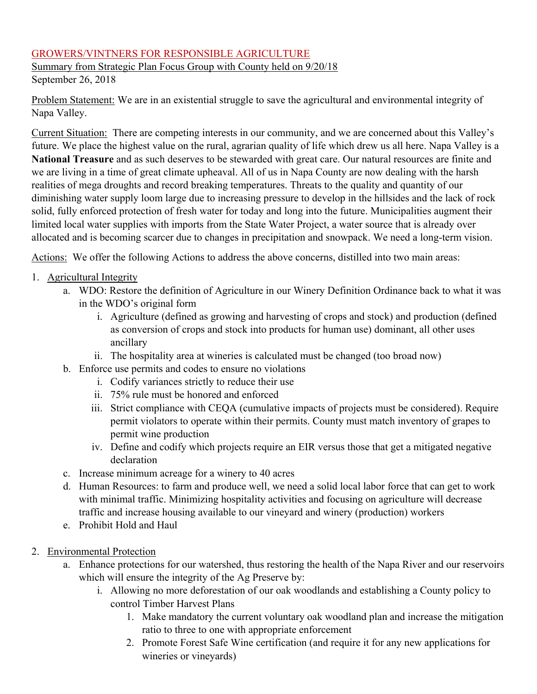## GROWERS/VINTNERS FOR RESPONSIBLE AGRICULTURE

Summary from Strategic Plan Focus Group with County held on 9/20/18 September 26, 2018

Problem Statement: We are in an existential struggle to save the agricultural and environmental integrity of Napa Valley.

Current Situation: There are competing interests in our community, and we are concerned about this Valley's future. We place the highest value on the rural, agrarian quality of life which drew us all here. Napa Valley is a **National Treasure** and as such deserves to be stewarded with great care. Our natural resources are finite and we are living in a time of great climate upheaval. All of us in Napa County are now dealing with the harsh realities of mega droughts and record breaking temperatures. Threats to the quality and quantity of our diminishing water supply loom large due to increasing pressure to develop in the hillsides and the lack of rock solid, fully enforced protection of fresh water for today and long into the future. Municipalities augment their limited local water supplies with imports from the State Water Project, a water source that is already over allocated and is becoming scarcer due to changes in precipitation and snowpack. We need a long-term vision.

Actions: We offer the following Actions to address the above concerns, distilled into two main areas:

- 1. Agricultural Integrity
	- a. WDO: Restore the definition of Agriculture in our Winery Definition Ordinance back to what it was in the WDO's original form
		- i. Agriculture (defined as growing and harvesting of crops and stock) and production (defined as conversion of crops and stock into products for human use) dominant, all other uses ancillary
		- ii. The hospitality area at wineries is calculated must be changed (too broad now)
	- b. Enforce use permits and codes to ensure no violations
		- i. Codify variances strictly to reduce their use
		- ii. 75% rule must be honored and enforced
		- iii. Strict compliance with CEQA (cumulative impacts of projects must be considered). Require permit violators to operate within their permits. County must match inventory of grapes to permit wine production
		- iv. Define and codify which projects require an EIR versus those that get a mitigated negative declaration
	- c. Increase minimum acreage for a winery to 40 acres
	- d. Human Resources: to farm and produce well, we need a solid local labor force that can get to work with minimal traffic. Minimizing hospitality activities and focusing on agriculture will decrease traffic and increase housing available to our vineyard and winery (production) workers
	- e. Prohibit Hold and Haul
- 2. Environmental Protection
	- a. Enhance protections for our watershed, thus restoring the health of the Napa River and our reservoirs which will ensure the integrity of the Ag Preserve by:
		- i. Allowing no more deforestation of our oak woodlands and establishing a County policy to control Timber Harvest Plans
			- 1. Make mandatory the current voluntary oak woodland plan and increase the mitigation ratio to three to one with appropriate enforcement
			- 2. Promote Forest Safe Wine certification (and require it for any new applications for wineries or vineyards)